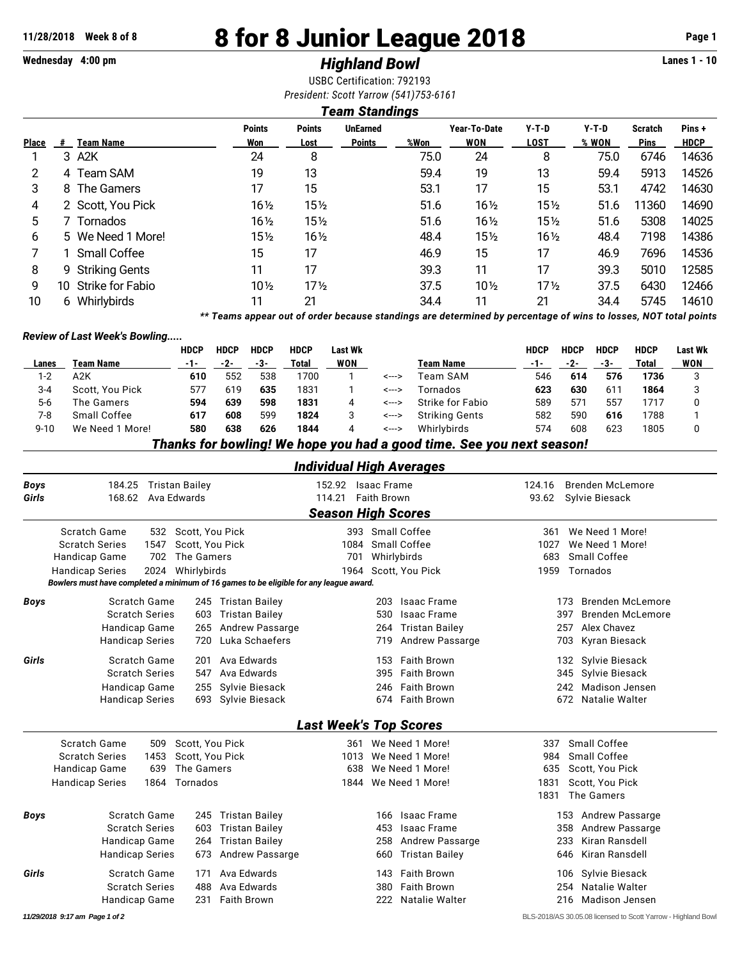# **11/28/2018 Week 8 of 8 8 for 8 Junior League 2018 Page 1**

# **Wednesday 4:00 pm** *Highland Bowl* **Lanes 1 - 10**

USBC Certification: 792193 *President: Scott Yarrow (541)753-6161*

## *Team Standings*

|              |    |                   | <b>Points</b>   | <b>Points</b>   | <b>UnEarned</b> |      | Year-To-Date    | $Y-T-D$         | $Y-T-D$ | <b>Scratch</b> | Pins +      |
|--------------|----|-------------------|-----------------|-----------------|-----------------|------|-----------------|-----------------|---------|----------------|-------------|
| <b>Place</b> | #  | Team Name         | Won             | Lost            | <b>Points</b>   | %Won | WON             | LOST            | % WON   | <b>Pins</b>    | <b>HDCP</b> |
|              |    | 3 A2K             | 24              | 8               |                 | 75.0 | 24              | 8               | 75.0    | 6746           | 14636       |
| 2            |    | 4 Team SAM        | 19              | 13              |                 | 59.4 | 19              | 13              | 59.4    | 5913           | 14526       |
| 3            |    | 8 The Gamers      | 17              | 15              |                 | 53.1 | 17              | 15              | 53.1    | 4742           | 14630       |
| 4            |    | 2 Scott, You Pick | $16\frac{1}{2}$ | $15\%$          |                 | 51.6 | $16\frac{1}{2}$ | $15\frac{1}{2}$ | 51.6    | 11360          | 14690       |
| 5.           |    | 7 Tornados        | $16\frac{1}{2}$ | 15½             |                 | 51.6 | $16\frac{1}{2}$ | $15\frac{1}{2}$ | 51.6    | 5308           | 14025       |
| 6            |    | 5 We Need 1 More! | 15½             | $16\frac{1}{2}$ |                 | 48.4 | $15\frac{1}{2}$ | $16\frac{1}{2}$ | 48.4    | 7198           | 14386       |
|              |    | 1 Small Coffee    | 15              | 17              |                 | 46.9 | 15              | 17              | 46.9    | 7696           | 14536       |
| 8            |    | 9 Striking Gents  | 11              | 17              |                 | 39.3 | 11              | 17              | 39.3    | 5010           | 12585       |
| 9            | 10 | Strike for Fabio  | $10\%$          | $17\frac{1}{2}$ |                 | 37.5 | $10\frac{1}{2}$ | $17\frac{1}{2}$ | 37.5    | 6430           | 12466       |
| 10           | 6  | Whirlybirds       | 11              | 21              |                 | 34.4 | 11              | 21              | 34.4    | 5745           | 14610       |

*\*\* Teams appear out of order because standings are determined by percentage of wins to losses, NOT total points*

#### *Review of Last Week's Bowling.....*

|          |                                                                       | <b>HDCP</b> | <b>HDCP</b> | <b>HDCP</b> | <b>HDCP</b> | Last Wk |       |                       | <b>HDCP</b> | <b>HDCP</b> | <b>HDCP</b>  | <b>HDCP</b> | <b>Last Wk</b> |
|----------|-----------------------------------------------------------------------|-------------|-------------|-------------|-------------|---------|-------|-----------------------|-------------|-------------|--------------|-------------|----------------|
| Lanes    | Team Name                                                             | -1-         | -2-         | -3-         | Total       | WON     |       | Team Name             | $-1-$       | $-2-$       | -3-          | Total       | WON            |
| $1 - 2$  | A2K                                                                   | 610         | 552         | 538         | 1700        |         | <---> | Team SAM              | 546         | 614         | 576          | 1736        |                |
| 3-4      | Scott, You Pick                                                       | 577         | 619         | 635         | 1831        |         | <---> | Tornados              | 623         | 630         | $61^{\circ}$ | 1864        |                |
| 5-6      | The Gamers                                                            | 594         | 639         | 598         | 1831        | 4       | <---> | Strike for Fabio      | 589         | 571         | 557          | 1717        |                |
| 7-8      | Small Coffee                                                          | 617         | 608         | 599         | 1824        |         | <---> | <b>Striking Gents</b> | 582         | 590         | 616          | 1788        |                |
| $9 - 10$ | We Need 1 More!                                                       | 580         | 638         | 626         | 1844        | 4       | <---> | Whirlybirds           | 574         | 608         | 623          | 1805        |                |
|          | Thanke for howling! We hone you had a good time. See you next eeason! |             |             |             |             |         |       |                       |             |             |              |             |                |

*Thanks for bowling! We hope you had a good time. See you next season!*

# *Individual High Averages*

| <b>Boys</b> | 184.25 Tristan Bailey          |                                                                                        | 152.92 | <b>Isaac Frame</b>                              | 124.16 | <b>Brenden McLemore</b>                                       |
|-------------|--------------------------------|----------------------------------------------------------------------------------------|--------|-------------------------------------------------|--------|---------------------------------------------------------------|
| Girls       | 168.62                         | Ava Edwards                                                                            | 114.21 | <b>Faith Brown</b><br><b>Season High Scores</b> | 93.62  | Sylvie Biesack                                                |
|             | <b>Scratch Game</b><br>532     | Scott. You Pick                                                                        |        | 393 Small Coffee                                | 361    | We Need 1 More!                                               |
|             | <b>Scratch Series</b><br>1547  | Scott, You Pick                                                                        | 1084   | Small Coffee                                    | 1027   | We Need 1 More!                                               |
|             | Handicap Game<br>702           | The Gamers                                                                             | 701    | Whirlybirds                                     | 683    | Small Coffee                                                  |
|             | 2024<br><b>Handicap Series</b> | Whirlybirds                                                                            |        | 1964 Scott, You Pick                            | 1959   | Tornados                                                      |
|             |                                | Bowlers must have completed a minimum of 16 games to be eligible for any league award. |        |                                                 |        |                                                               |
| <b>Boys</b> | Scratch Game                   | 245 Tristan Bailey                                                                     |        | Isaac Frame<br>203                              |        | <b>Brenden McLemore</b><br>173                                |
|             | <b>Scratch Series</b>          | <b>Tristan Bailey</b><br>603                                                           |        | 530<br><b>Isaac Frame</b>                       | 397    | <b>Brenden McLemore</b>                                       |
|             | Handicap Game                  | Andrew Passarge<br>265                                                                 |        | 264 Tristan Bailey                              |        | Alex Chavez<br>257                                            |
|             | <b>Handicap Series</b>         | Luka Schaefers<br>720                                                                  |        | <b>Andrew Passarge</b><br>719                   |        | Kyran Biesack<br>703                                          |
| Girls       | Scratch Game                   | Ava Edwards<br>201                                                                     |        | Faith Brown<br>153                              |        | Sylvie Biesack<br>132                                         |
|             | <b>Scratch Series</b>          | Ava Edwards<br>547                                                                     |        | <b>Faith Brown</b><br>395                       |        | Sylvie Biesack<br>345                                         |
|             | Handicap Game                  | 255 Sylvie Biesack                                                                     |        | Faith Brown<br>246                              |        | Madison Jensen<br>242                                         |
|             | <b>Handicap Series</b>         | 693 Sylvie Biesack                                                                     |        | 674 Faith Brown                                 |        | Natalie Walter<br>672                                         |
|             |                                |                                                                                        |        | <b>Last Week's Top Scores</b>                   |        |                                                               |
|             | Scratch Game<br>509            | Scott, You Pick                                                                        |        | 361 We Need 1 More!                             | 337    | Small Coffee                                                  |
|             | <b>Scratch Series</b><br>1453  | Scott, You Pick                                                                        | 1013   | We Need 1 More!                                 | 984    | Small Coffee                                                  |
|             | Handicap Game<br>639           | The Gamers                                                                             | 638    | We Need 1 More!                                 | 635    | Scott, You Pick                                               |
|             | <b>Handicap Series</b><br>1864 | Tornados                                                                               | 1844   | We Need 1 More!                                 | 1831   | Scott, You Pick                                               |
|             |                                |                                                                                        |        |                                                 | 1831   | The Gamers                                                    |
| <b>Boys</b> | Scratch Game                   | 245 Tristan Bailey                                                                     |        | Isaac Frame<br>166                              |        | Andrew Passarge<br>153                                        |
|             | <b>Scratch Series</b>          | <b>Tristan Bailey</b><br>603                                                           |        | Isaac Frame<br>453                              |        | <b>Andrew Passarge</b><br>358                                 |
|             | Handicap Game                  | Tristan Bailey<br>264                                                                  |        | <b>Andrew Passarge</b><br>258                   | 233    | Kiran Ransdell                                                |
|             | <b>Handicap Series</b>         | Andrew Passarge<br>673                                                                 |        | <b>Tristan Bailey</b><br>660                    | 646    | Kiran Ransdell                                                |
| Girls       | <b>Scratch Game</b>            | Ava Edwards<br>171                                                                     |        | Faith Brown<br>143                              |        | Sylvie Biesack<br>106                                         |
|             | <b>Scratch Series</b>          | Ava Edwards<br>488                                                                     |        | <b>Faith Brown</b><br>380                       |        | Natalie Walter<br>254                                         |
|             | Handicap Game                  | <b>Faith Brown</b><br>231                                                              |        | Natalie Walter<br>222                           |        | <b>Madison Jensen</b><br>216                                  |
|             | 11/29/2018 9:17 am Page 1 of 2 |                                                                                        |        |                                                 |        | BLS-2018/AS 30.05.08 licensed to Scott Yarrow - Highland Bowl |